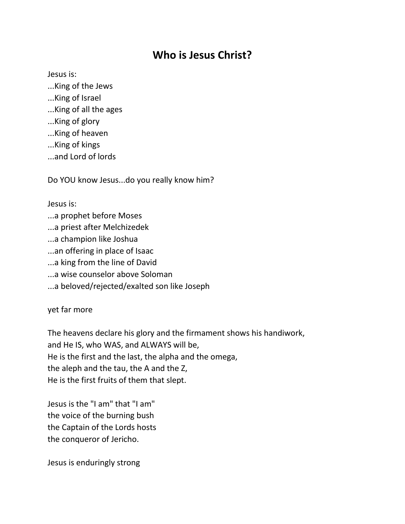## **Who is Jesus Christ?**

Jesus is:

- ...King of the Jews
- ...King of Israel
- ...King of all the ages
- ...King of glory
- ...King of heaven
- ...King of kings
- ...and Lord of lords

Do YOU know Jesus...do you really know him?

## Jesus is:

- ...a prophet before Moses
- ...a priest after Melchizedek
- ...a champion like Joshua
- ...an offering in place of Isaac
- ...a king from the line of David
- ...a wise counselor above Soloman
- ...a beloved/rejected/exalted son like Joseph

## yet far more

The heavens declare his glory and the firmament shows his handiwork, and He IS, who WAS, and ALWAYS will be, He is the first and the last, the alpha and the omega, the aleph and the tau, the A and the Z, He is the first fruits of them that slept.

Jesus is the "I am" that "I am" the voice of the burning bush the Captain of the Lords hosts the conqueror of Jericho.

Jesus is enduringly strong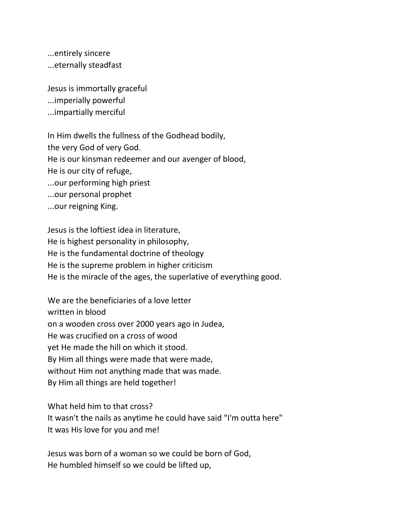...entirely sincere

...eternally steadfast

Jesus is immortally graceful ...imperially powerful ...impartially merciful

In Him dwells the fullness of the Godhead bodily, the very God of very God. He is our kinsman redeemer and our avenger of blood, He is our city of refuge, ...our performing high priest ...our personal prophet ...our reigning King.

Jesus is the loftiest idea in literature, He is highest personality in philosophy, He is the fundamental doctrine of theology He is the supreme problem in higher criticism He is the miracle of the ages, the superlative of everything good.

We are the beneficiaries of a love letter written in blood on a wooden cross over 2000 years ago in Judea, He was crucified on a cross of wood yet He made the hill on which it stood. By Him all things were made that were made, without Him not anything made that was made. By Him all things are held together!

What held him to that cross?

It wasn't the nails as anytime he could have said "I'm outta here" It was His love for you and me!

Jesus was born of a woman so we could be born of God, He humbled himself so we could be lifted up,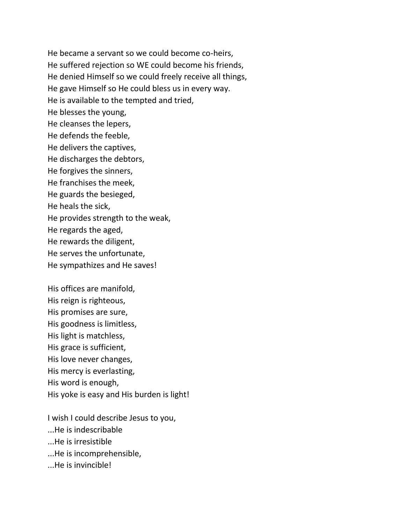He became a servant so we could become co-heirs, He suffered rejection so WE could become his friends, He denied Himself so we could freely receive all things, He gave Himself so He could bless us in every way. He is available to the tempted and tried, He blesses the young, He cleanses the lepers, He defends the feeble, He delivers the captives, He discharges the debtors, He forgives the sinners, He franchises the meek, He guards the besieged, He heals the sick, He provides strength to the weak, He regards the aged, He rewards the diligent, He serves the unfortunate, He sympathizes and He saves!

His offices are manifold, His reign is righteous, His promises are sure, His goodness is limitless, His light is matchless, His grace is sufficient, His love never changes, His mercy is everlasting, His word is enough, His yoke is easy and His burden is light!

I wish I could describe Jesus to you,

...He is indescribable

...He is irresistible

...He is incomprehensible,

...He is invincible!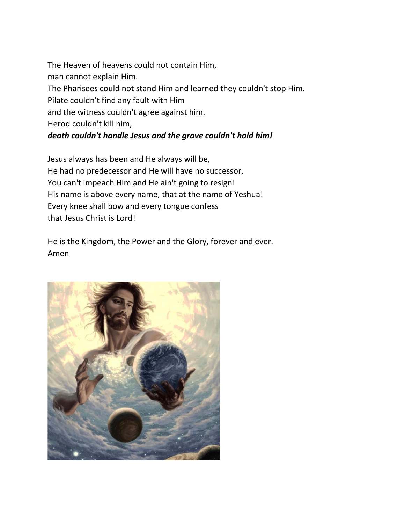The Heaven of heavens could not contain Him, man cannot explain Him. The Pharisees could not stand Him and learned they couldn't stop Him. Pilate couldn't find any fault with Him and the witness couldn't agree against him. Herod couldn't kill him, *death couldn't handle Jesus and the grave couldn't hold him!*

Jesus always has been and He always will be, He had no predecessor and He will have no successor, You can't impeach Him and He ain't going to resign! His name is above every name, that at the name of Yeshua! Every knee shall bow and every tongue confess that Jesus Christ is Lord!

He is the Kingdom, the Power and the Glory, forever and ever. Amen

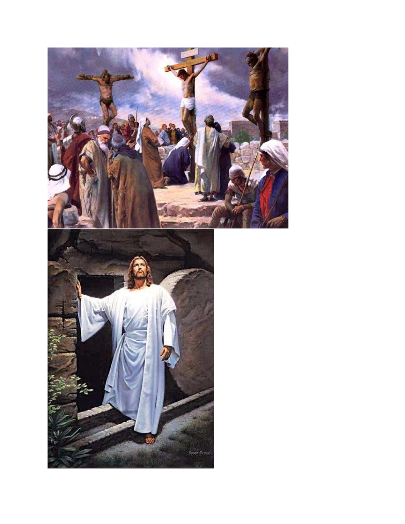